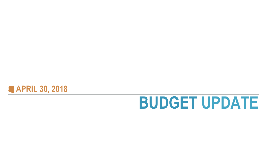

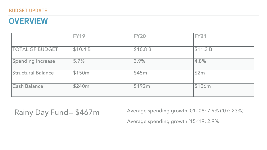## **OVERVIEW**

|                           | <b>FY19</b> | <b>FY20</b> | <b>FY21</b> |
|---------------------------|-------------|-------------|-------------|
| <b>TOTAL GF BUDGET</b>    | \$10.4 B    | \$10.8 B    | \$11.3 B    |
| <b>Spending Increase</b>  | 5.7%        | 3.9%        | 4.8%        |
| <b>Structural Balance</b> | \$150m      | \$45m       | \$2m        |
| <b>Cash Balance</b>       | \$240m      | \$192m      | \$106m      |

### Rainy Day Fund= \$467m Average spending growth '01-'08: 7.9% ('07: 23%)

Average spending growth '15-'19: 2.9%

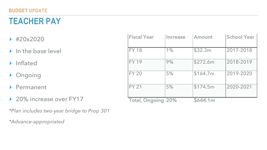- ▸ #20x2020
- ▶ In the base level
- ▸ Inflated
- ▸ Ongoing
- ▸ Permanent
- ▶ 20% increase over FY17

## **TEACHER PAY**

*\*Plan includes two-year bridge to Prop 301* 

*\*Advance-appropriated* 

| <b>Fiscal Year</b>        | <b>Increase</b> | <b>Amount</b>   | <b>School Year</b> |
|---------------------------|-----------------|-----------------|--------------------|
|                           |                 |                 |                    |
| <b>FY 18</b>              | 1%              | \$32.3m         | 2017-2018          |
| <b>FY 19</b>              | 9%              | \$272.6m        | 2018-2019          |
| <b>FY 20</b>              | 5%              | \$164.7m        | 2019-2020          |
| <b>FY 21</b>              | 5%              | \$174.5m        | 2020-2021          |
| <b>Total, Ongoing 20%</b> |                 | <b>\$644.1m</b> |                    |

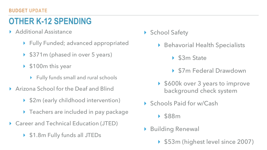## **OTHER K-12 SPENDING**

- ▸ Additional Assistance
	- ▸ Fully Funded; advanced appropriated
	- ▸ \$371m (phased in over 5 years)
	- ▶ \$100m this year
		- ▸ Fully funds small and rural schools
- ▶ Arizona School for the Deaf and Blind
	- ▸ \$2m (early childhood intervention)
	- ▸ Teachers are included in pay package
- ▸ Career and Technical Education (JTED)
	- ▸ \$1.8m Fully funds all JTEDs

#### ▶ School Safety

- ▶ Behavorial Health Specialists
	- ▶ \$3m State
	- ▸ \$7m Federal Drawdown
- ▸ \$600k over 3 years to improve background check system
- ▶ Schools Paid for w/Cash
	- ▸ \$88m
- **Building Renewal** 
	- ▸ \$53m (highest level since 2007)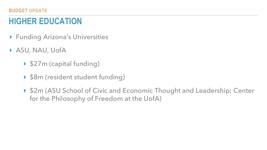# **HIGHER EDUCATION**

- ▸ Funding Arizona's Universities
- ▸ ASU, NAU, UofA
	- ▸ \$27m (capital funding)
	- ▸ \$8m (resident student funding)
	- for the Philosophy of Freedom at the UofA)

▶ \$2m (ASU School of Civic and Economic Thought and Leadership; Center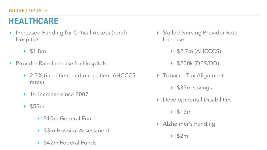## **HEALTHCARE**

- ▸ Increased Funding for Critical Access (rural) Hospitals ▸ \$1.8m ▸ 2.5% (in-patient and out-patient AHCCCS rates) ▶ 1<sup>st</sup> increase since 2007 ▸ \$55m \$10m General Fund ▸ \$3m Hospital Assessment ▸ Skilled Nursing Provider Rate Increase ▸ \$2.7m (AHCCCS) ▸ \$200k (DES/DD) ▶ Tobacco Tax Alignment ▸ \$35m savings Developmental Disabilities ▸ \$13m ▸ Alzheimer's Funding ▸ \$2m
	-
- ▸ Provider Rate Increase for Hospitals
- -
	- -
		-
		- ▸ \$42m Federal Funds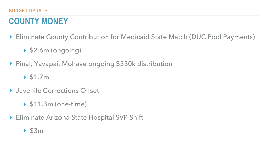## **BUDGET UPDATE COUNTY MONEY**

#### ▸ Eliminate County Contribution for Medicaid State Match (DUC Pool Payments)



- - ▸ \$2.6m (ongoing)
- ▸ Pinal, Yavapai, Mohave ongoing \$550k distribution
	- ▸ \$1.7m
- ▸ Juvenile Corrections Offset
	- ▸ \$11.3m (one-time)
- ▶ Eliminate Arizona State Hospital SVP Shift
	- ▸ \$3m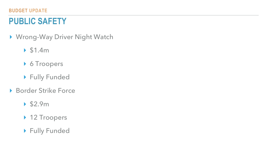### **BUDGET UPDATE PUBLIC SAFETY**

▸ Wrong-Way Driver Night Watch

- ▸ \$1.4m
- ▸ 6 Troopers
- ▸ Fully Funded
- ▶ Border Strike Force
	- ▸ \$2.9m
	- ▸ 12 Troopers
	- ▸ Fully Funded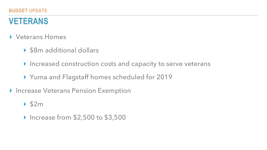## **VETERANS**

- ▸ Veterans Homes
	- ▸ \$8m additional dollars
	- ▸ Increased construction costs and capacity to serve veterans
	- ▸ Yuma and Flagstaff homes scheduled for 2019
- ▸ Increase Veterans Pension Exemption

#### ▸ \$2m

▸ Increase from \$2,500 to \$3,500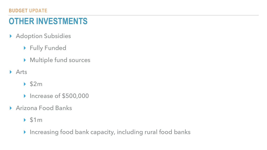## **OTHER INVESTMENTS**

- ▸ Adoption Subsidies
	- ▸ Fully Funded
	- ▸ Multiple fund sources
- ▸ Arts
	- ▸ \$2m
	- ▸ Increase of \$500,000
- ▸ Arizona Food Banks
	- ▸ \$1m
	- ▸ Increasing food bank capacity, including rural food banks